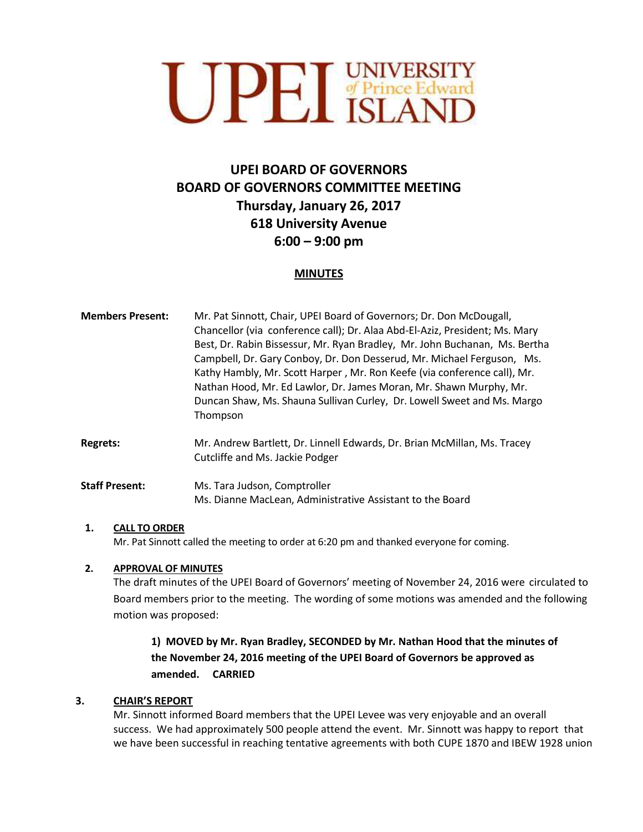

# **UPEI BOARD OF GOVERNORS BOARD OF GOVERNORS COMMITTEE MEETING Thursday, January 26, 2017 618 University Avenue 6:00 – 9:00 pm**

#### **MINUTES**

| <b>Members Present:</b> | Mr. Pat Sinnott, Chair, UPEI Board of Governors; Dr. Don McDougall,<br>Chancellor (via conference call); Dr. Alaa Abd-El-Aziz, President; Ms. Mary<br>Best, Dr. Rabin Bissessur, Mr. Ryan Bradley, Mr. John Buchanan, Ms. Bertha<br>Campbell, Dr. Gary Conboy, Dr. Don Desserud, Mr. Michael Ferguson, Ms.<br>Kathy Hambly, Mr. Scott Harper, Mr. Ron Keefe (via conference call), Mr.<br>Nathan Hood, Mr. Ed Lawlor, Dr. James Moran, Mr. Shawn Murphy, Mr.<br>Duncan Shaw, Ms. Shauna Sullivan Curley, Dr. Lowell Sweet and Ms. Margo<br>Thompson |
|-------------------------|-----------------------------------------------------------------------------------------------------------------------------------------------------------------------------------------------------------------------------------------------------------------------------------------------------------------------------------------------------------------------------------------------------------------------------------------------------------------------------------------------------------------------------------------------------|
| <b>Regrets:</b>         | Mr. Andrew Bartlett, Dr. Linnell Edwards, Dr. Brian McMillan, Ms. Tracey<br>Cutcliffe and Ms. Jackie Podger                                                                                                                                                                                                                                                                                                                                                                                                                                         |
| <b>Staff Present:</b>   | Ms. Tara Judson, Comptroller<br>Ms. Dianne MacLean, Administrative Assistant to the Board                                                                                                                                                                                                                                                                                                                                                                                                                                                           |

#### **1. CALL TO ORDER**

Mr. Pat Sinnott called the meeting to order at 6:20 pm and thanked everyone for coming.

#### **2. APPROVAL OF MINUTES**

The draft minutes of the UPEI Board of Governors' meeting of November 24, 2016 were circulated to Board members prior to the meeting. The wording of some motions was amended and the following motion was proposed:

## **1) MOVED by Mr. Ryan Bradley, SECONDED by Mr. Nathan Hood that the minutes of the November 24, 2016 meeting of the UPEI Board of Governors be approved as amended. CARRIED**

#### **3. CHAIR'S REPORT**

Mr. Sinnott informed Board members that the UPEI Levee was very enjoyable and an overall success. We had approximately 500 people attend the event. Mr. Sinnott was happy to report that we have been successful in reaching tentative agreements with both CUPE 1870 and IBEW 1928 union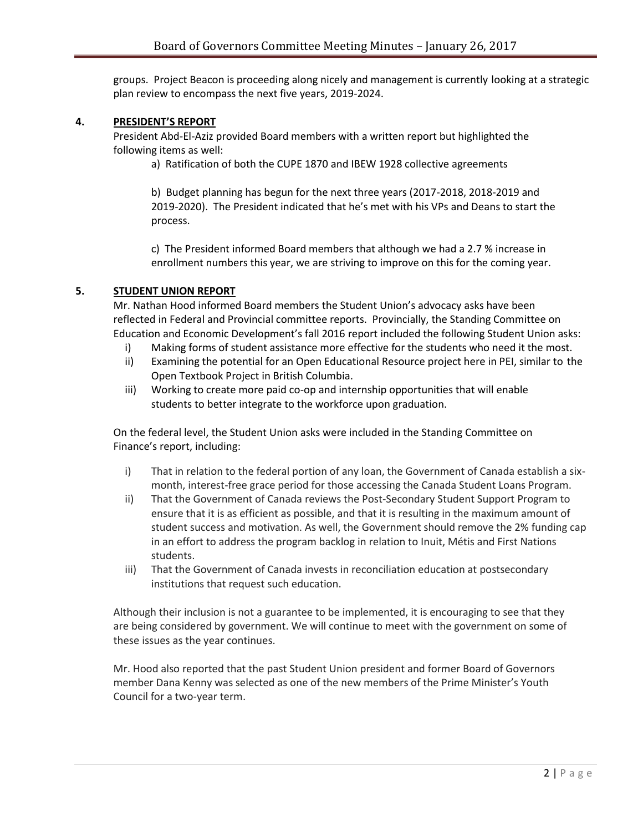groups. Project Beacon is proceeding along nicely and management is currently looking at a strategic plan review to encompass the next five years, 2019-2024.

#### **4. PRESIDENT'S REPORT**

President Abd-El-Aziz provided Board members with a written report but highlighted the following items as well:

a) Ratification of both the CUPE 1870 and IBEW 1928 collective agreements

b) Budget planning has begun for the next three years (2017-2018, 2018-2019 and 2019-2020). The President indicated that he's met with his VPs and Deans to start the process.

c) The President informed Board members that although we had a 2.7 % increase in enrollment numbers this year, we are striving to improve on this for the coming year.

#### **5. STUDENT UNION REPORT**

Mr. Nathan Hood informed Board members the Student Union's advocacy asks have been reflected in Federal and Provincial committee reports. Provincially, the Standing Committee on Education and Economic Development's fall 2016 report included the following Student Union asks:

- i) Making forms of student assistance more effective for the students who need it the most.
- ii) Examining the potential for an Open Educational Resource project here in PEI, similar to the Open Textbook Project in British Columbia.
- iii) Working to create more paid co-op and internship opportunities that will enable students to better integrate to the workforce upon graduation.

On the federal level, the Student Union asks were included in the Standing Committee on Finance's report, including:

- i) That in relation to the federal portion of any loan, the Government of Canada establish a sixmonth, interest-free grace period for those accessing the Canada Student Loans Program.
- ii) That the Government of Canada reviews the Post-Secondary Student Support Program to ensure that it is as efficient as possible, and that it is resulting in the maximum amount of student success and motivation. As well, the Government should remove the 2% funding cap in an effort to address the program backlog in relation to Inuit, Métis and First Nations students.
- iii) That the Government of Canada invests in reconciliation education at postsecondary institutions that request such education.

Although their inclusion is not a guarantee to be implemented, it is encouraging to see that they are being considered by government. We will continue to meet with the government on some of these issues as the year continues.

Mr. Hood also reported that the past Student Union president and former Board of Governors member Dana Kenny was selected as one of the new members of the Prime Minister's Youth Council for a two-year term.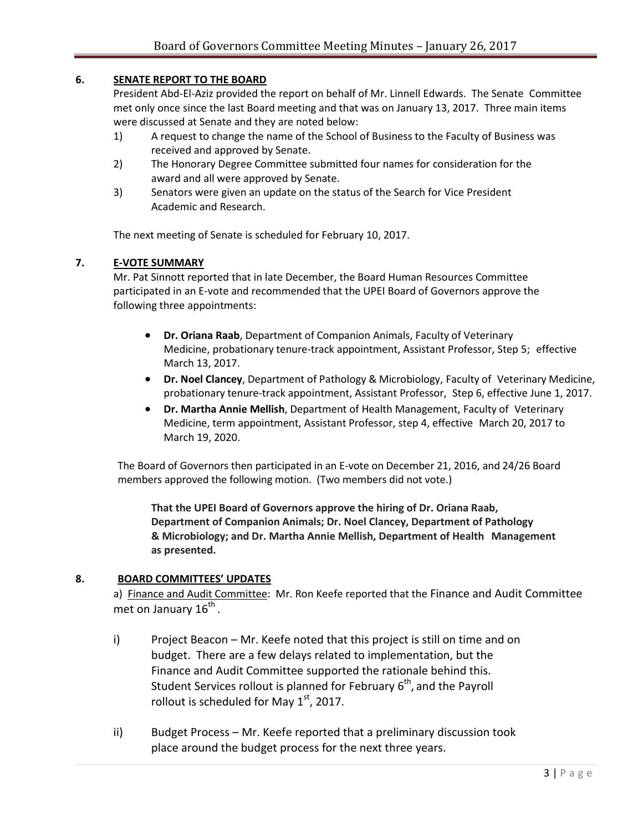#### **6. SENATE REPORT TO THE BOARD**

President Abd-El-Aziz provided the report on behalf of Mr. Linnell Edwards. The Senate Committee met only once since the last Board meeting and that was on January 13, 2017. Three main items were discussed at Senate and they are noted below:

- 1) A request to change the name of the School of Business to the Faculty of Business was received and approved by Senate.
- 2) The Honorary Degree Committee submitted four names for consideration for the award and all were approved by Senate.
- 3) Senators were given an update on the status of the Search for Vice President Academic and Research.

The next meeting of Senate is scheduled for February 10, 2017.

#### **7. E-VOTE SUMMARY**

Mr. Pat Sinnott reported that in late December, the Board Human Resources Committee participated in an E-vote and recommended that the UPEI Board of Governors approve the following three appointments:

- **Dr. Oriana Raab**, Department of Companion Animals, Faculty of Veterinary Medicine, probationary tenure-track appointment, Assistant Professor, Step 5; effective March 13, 2017.
- **Dr. Noel Clancey**, Department of Pathology & Microbiology, Faculty of Veterinary Medicine, probationary tenure-track appointment, Assistant Professor, Step 6, effective June 1, 2017.
- **Dr. Martha Annie Mellish**, Department of Health Management, Faculty of Veterinary Medicine, term appointment, Assistant Professor, step 4, effective March 20, 2017 to March 19, 2020.

The Board of Governors then participated in an E-vote on December 21, 2016, and 24/26 Board members approved the following motion. (Two members did not vote.)

**That the UPEI Board of Governors approve the hiring of Dr. Oriana Raab, Department of Companion Animals; Dr. Noel Clancey, Department of Pathology & Microbiology; and Dr. Martha Annie Mellish, Department of Health Management as presented.** 

#### **8. BOARD COMMITTEES' UPDATES**

a) Finance and Audit Committee: Mr. Ron Keefe reported that the Finance and Audit Committee met on January 16<sup>th</sup>.

- i) Project Beacon Mr. Keefe noted that this project is still on time and on budget. There are a few delays related to implementation, but the Finance and Audit Committee supported the rationale behind this. Student Services rollout is planned for February 6<sup>th</sup>, and the Payroll rollout is scheduled for May  $1<sup>st</sup>$ , 2017.
- ii) Budget Process Mr. Keefe reported that a preliminary discussion took place around the budget process for the next three years.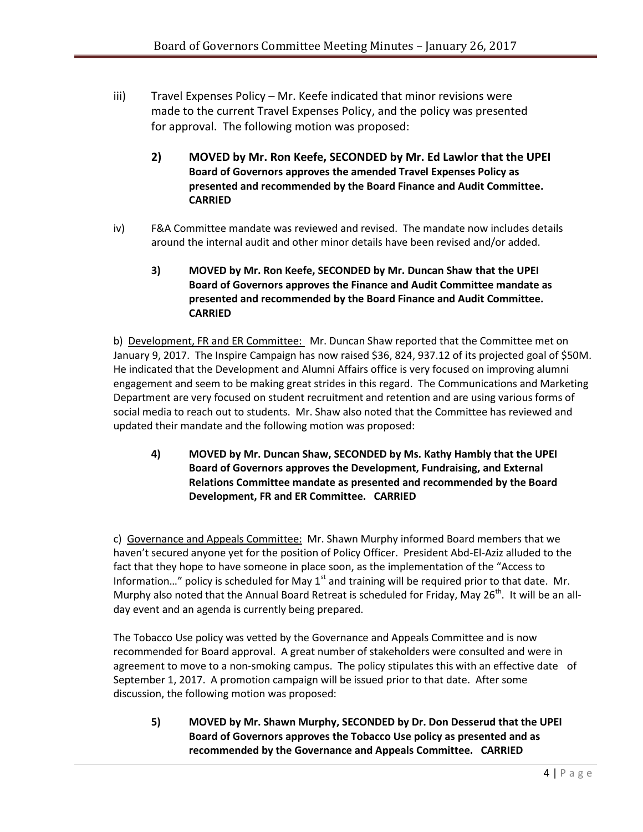- iii) Travel Expenses Policy Mr. Keefe indicated that minor revisions were made to the current Travel Expenses Policy, and the policy was presented for approval. The following motion was proposed:
	- **2) MOVED by Mr. Ron Keefe, SECONDED by Mr. Ed Lawlor that the UPEI Board of Governors approves the amended Travel Expenses Policy as presented and recommended by the Board Finance and Audit Committee. CARRIED**
- iv) F&A Committee mandate was reviewed and revised.The mandate now includes details around the internal audit and other minor details have been revised and/or added.

### **3) MOVED by Mr. Ron Keefe, SECONDED by Mr. Duncan Shaw that the UPEI Board of Governors approves the Finance and Audit Committee mandate as presented and recommended by the Board Finance and Audit Committee. CARRIED**

b) Development, FR and ER Committee: Mr. Duncan Shaw reported that the Committee met on January 9, 2017. The Inspire Campaign has now raised \$36, 824, 937.12 of its projected goal of \$50M. He indicated that the Development and Alumni Affairs office is very focused on improving alumni engagement and seem to be making great strides in this regard. The Communications and Marketing Department are very focused on student recruitment and retention and are using various forms of social media to reach out to students. Mr. Shaw also noted that the Committee has reviewed and updated their mandate and the following motion was proposed:

**4) MOVED by Mr. Duncan Shaw, SECONDED by Ms. Kathy Hambly that the UPEI Board of Governors approves the Development, Fundraising, and External Relations Committee mandate as presented and recommended by the Board Development, FR and ER Committee. CARRIED**

c) Governance and Appeals Committee: Mr. Shawn Murphy informed Board members that we haven't secured anyone yet for the position of Policy Officer. President Abd-El-Aziz alluded to the fact that they hope to have someone in place soon, as the implementation of the "Access to Information..." policy is scheduled for May  $1<sup>st</sup>$  and training will be required prior to that date. Mr. Murphy also noted that the Annual Board Retreat is scheduled for Friday, May 26<sup>th</sup>. It will be an allday event and an agenda is currently being prepared.

The Tobacco Use policy was vetted by the Governance and Appeals Committee and is now recommended for Board approval. A great number of stakeholders were consulted and were in agreement to move to a non-smoking campus. The policy stipulates this with an effective date of September 1, 2017. A promotion campaign will be issued prior to that date. After some discussion, the following motion was proposed:

**5) MOVED by Mr. Shawn Murphy, SECONDED by Dr. Don Desserud that the UPEI Board of Governors approves the Tobacco Use policy as presented and as recommended by the Governance and Appeals Committee. CARRIED**